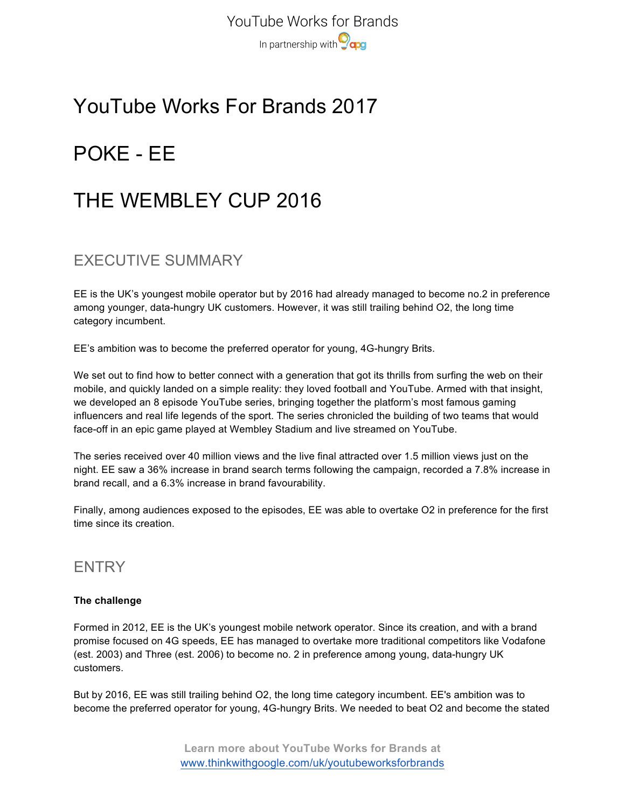YouTube Works for Brands In partnership with **Ocaps** 

## YouTube Works For Brands 2017

# POKE - EE

## THE WEMBLEY CUP 2016

### EXECUTIVE SUMMARY

EE is the UK's youngest mobile operator but by 2016 had already managed to become no.2 in preference among younger, data-hungry UK customers. However, it was still trailing behind O2, the long time category incumbent.

EE's ambition was to become the preferred operator for young, 4G-hungry Brits.

We set out to find how to better connect with a generation that got its thrills from surfing the web on their mobile, and quickly landed on a simple reality: they loved football and YouTube. Armed with that insight, we developed an 8 episode YouTube series, bringing together the platform's most famous gaming influencers and real life legends of the sport. The series chronicled the building of two teams that would face-off in an epic game played at Wembley Stadium and live streamed on YouTube.

The series received over 40 million views and the live final attracted over 1.5 million views just on the night. EE saw a 36% increase in brand search terms following the campaign, recorded a 7.8% increase in brand recall, and a 6.3% increase in brand favourability.

Finally, among audiences exposed to the episodes, EE was able to overtake O2 in preference for the first time since its creation.

### **ENTRY**

### **The challenge**

Formed in 2012, EE is the UK's youngest mobile network operator. Since its creation, and with a brand promise focused on 4G speeds, EE has managed to overtake more traditional competitors like Vodafone (est. 2003) and Three (est. 2006) to become no. 2 in preference among young, data-hungry UK customers.

But by 2016, EE was still trailing behind O2, the long time category incumbent. EE's ambition was to become the preferred operator for young, 4G-hungry Brits. We needed to beat O2 and become the stated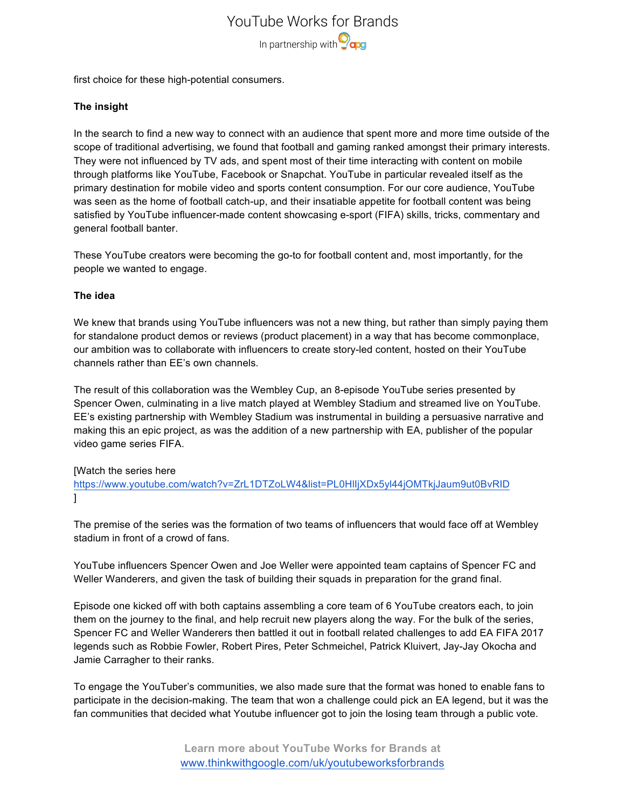YouTube Works for Brands In partnership with **O**qog

first choice for these high-potential consumers.

### **The insight**

In the search to find a new way to connect with an audience that spent more and more time outside of the scope of traditional advertising, we found that football and gaming ranked amongst their primary interests. They were not influenced by TV ads, and spent most of their time interacting with content on mobile through platforms like YouTube, Facebook or Snapchat. YouTube in particular revealed itself as the primary destination for mobile video and sports content consumption. For our core audience, YouTube was seen as the home of football catch-up, and their insatiable appetite for football content was being satisfied by YouTube influencer-made content showcasing e-sport (FIFA) skills, tricks, commentary and general football banter.

These YouTube creators were becoming the go-to for football content and, most importantly, for the people we wanted to engage.

### **The idea**

We knew that brands using YouTube influencers was not a new thing, but rather than simply paying them for standalone product demos or reviews (product placement) in a way that has become commonplace, our ambition was to collaborate with influencers to create story-led content, hosted on their YouTube channels rather than EE's own channels.

The result of this collaboration was the Wembley Cup, an 8-episode YouTube series presented by Spencer Owen, culminating in a live match played at Wembley Stadium and streamed live on YouTube. EE's existing partnership with Wembley Stadium was instrumental in building a persuasive narrative and making this an epic project, as was the addition of a new partnership with EA, publisher of the popular video game series FIFA.

### [Watch the series here

https://www.youtube.com/watch?v=ZrL1DTZoLW4&list=PL0HlIjXDx5yl44jOMTkjJaum9ut0BvRID ]

The premise of the series was the formation of two teams of influencers that would face off at Wembley stadium in front of a crowd of fans.

YouTube influencers Spencer Owen and Joe Weller were appointed team captains of Spencer FC and Weller Wanderers, and given the task of building their squads in preparation for the grand final.

Episode one kicked off with both captains assembling a core team of 6 YouTube creators each, to join them on the journey to the final, and help recruit new players along the way. For the bulk of the series, Spencer FC and Weller Wanderers then battled it out in football related challenges to add EA FIFA 2017 legends such as Robbie Fowler, Robert Pires, Peter Schmeichel, Patrick Kluivert, Jay-Jay Okocha and Jamie Carragher to their ranks.

To engage the YouTuber's communities, we also made sure that the format was honed to enable fans to participate in the decision-making. The team that won a challenge could pick an EA legend, but it was the fan communities that decided what Youtube influencer got to join the losing team through a public vote.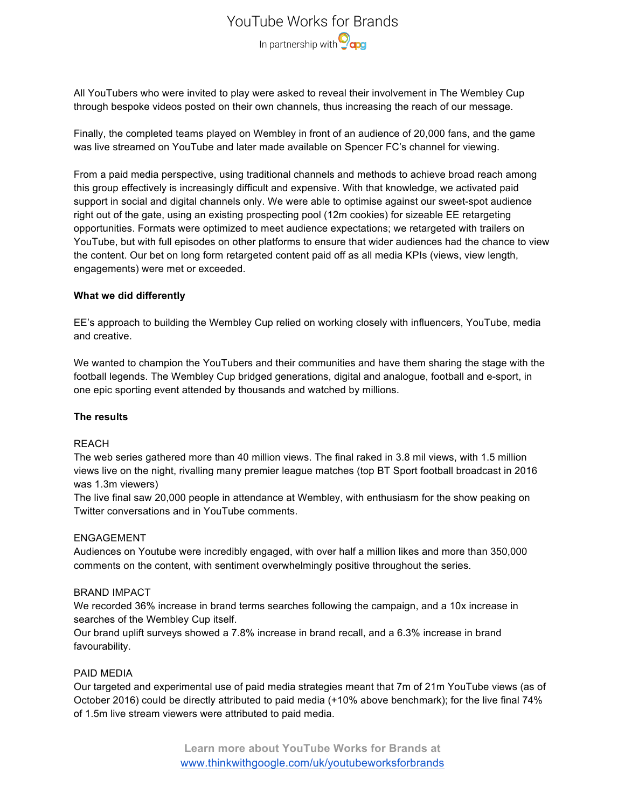### YouTube Works for Brands In partnership with **Ocaps**

All YouTubers who were invited to play were asked to reveal their involvement in The Wembley Cup through bespoke videos posted on their own channels, thus increasing the reach of our message.

Finally, the completed teams played on Wembley in front of an audience of 20,000 fans, and the game was live streamed on YouTube and later made available on Spencer FC's channel for viewing.

From a paid media perspective, using traditional channels and methods to achieve broad reach among this group effectively is increasingly difficult and expensive. With that knowledge, we activated paid support in social and digital channels only. We were able to optimise against our sweet-spot audience right out of the gate, using an existing prospecting pool (12m cookies) for sizeable EE retargeting opportunities. Formats were optimized to meet audience expectations; we retargeted with trailers on YouTube, but with full episodes on other platforms to ensure that wider audiences had the chance to view the content. Our bet on long form retargeted content paid off as all media KPIs (views, view length, engagements) were met or exceeded.

### **What we did differently**

EE's approach to building the Wembley Cup relied on working closely with influencers, YouTube, media and creative.

We wanted to champion the YouTubers and their communities and have them sharing the stage with the football legends. The Wembley Cup bridged generations, digital and analogue, football and e-sport, in one epic sporting event attended by thousands and watched by millions.

### **The results**

### REACH

The web series gathered more than 40 million views. The final raked in 3.8 mil views, with 1.5 million views live on the night, rivalling many premier league matches (top BT Sport football broadcast in 2016 was 1.3m viewers)

The live final saw 20,000 people in attendance at Wembley, with enthusiasm for the show peaking on Twitter conversations and in YouTube comments.

### ENGAGEMENT

Audiences on Youtube were incredibly engaged, with over half a million likes and more than 350,000 comments on the content, with sentiment overwhelmingly positive throughout the series.

### BRAND IMPACT

We recorded 36% increase in brand terms searches following the campaign, and a 10x increase in searches of the Wembley Cup itself.

Our brand uplift surveys showed a 7.8% increase in brand recall, and a 6.3% increase in brand favourability.

### PAID MEDIA

Our targeted and experimental use of paid media strategies meant that 7m of 21m YouTube views (as of October 2016) could be directly attributed to paid media (+10% above benchmark); for the live final 74% of 1.5m live stream viewers were attributed to paid media.